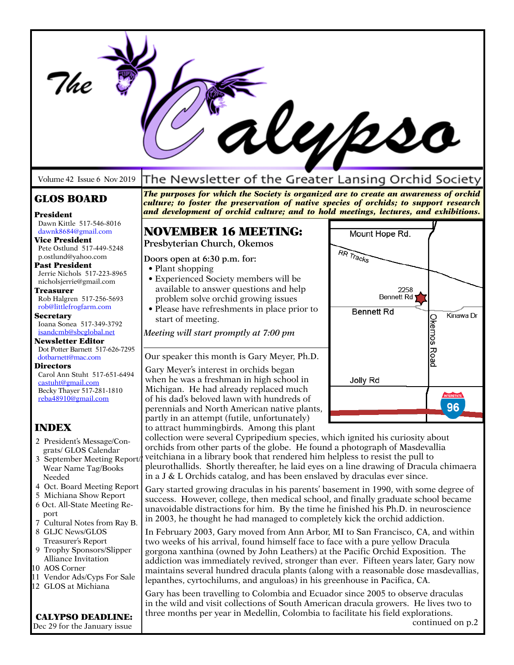|                                                        |                                                                                                                                                                                                                                                                      | Kypso                          |
|--------------------------------------------------------|----------------------------------------------------------------------------------------------------------------------------------------------------------------------------------------------------------------------------------------------------------------------|--------------------------------|
| Volume 42 Issue 6 Nov 2019                             | The Newsletter of the Greater Lansing Orchid Society                                                                                                                                                                                                                 |                                |
| <b>GLOS BOARD</b><br>President                         | The purposes for which the Society is organized are to create an awareness of orchid<br>culture; to foster the preservation of native species of orchids; to support research<br>and development of orchid culture; and to hold meetings, lectures, and exhibitions. |                                |
| Dawn Kittle 517-546-8016<br>dawnk8684@gmail.com        | <b>NOVEMBER 16 MEETING:</b>                                                                                                                                                                                                                                          | Mount Hope Rd.                 |
| <b>Vice President</b>                                  | Presbyterian Church, Okemos                                                                                                                                                                                                                                          |                                |
| Pete Ostlund 517-449-5248<br>p.ostlund@yahoo.com       |                                                                                                                                                                                                                                                                      | RR Tracks                      |
| Past President                                         | Doors open at 6:30 p.m. for:<br>• Plant shopping                                                                                                                                                                                                                     |                                |
| Jerrie Nichols 517-223-8965<br>nicholsjerrie@gmail.com | • Experienced Society members will be                                                                                                                                                                                                                                |                                |
| Treasurer                                              | available to answer questions and help                                                                                                                                                                                                                               | 2258                           |
| Rob Halgren 517-256-5693                               | problem solve orchid growing issues                                                                                                                                                                                                                                  | <b>Bennett Rd'</b>             |
| rob@littlefrogfarm.com<br><b>Secretary</b>             | • Please have refreshments in place prior to<br>start of meeting.                                                                                                                                                                                                    | <b>Bennett Rd</b><br>Kinawa Dr |
| Ioana Sonea 517-349-3792                               |                                                                                                                                                                                                                                                                      |                                |
| isandcmb@sbcglobal.net<br><b>Newsletter Editor</b>     | Meeting will start promptly at 7:00 pm                                                                                                                                                                                                                               |                                |
| Dot Potter Barnett 517-626-7295                        | Our speaker this month is Gary Meyer, Ph.D.                                                                                                                                                                                                                          | Okemos Road                    |
| dotbarnett@mac.com<br>Directors                        |                                                                                                                                                                                                                                                                      |                                |
| Carol Ann Stuht 517-651-6494                           | Gary Meyer's interest in orchids began<br>when he was a freshman in high school in                                                                                                                                                                                   | Jolly Rd                       |
| castuht@gmail.com<br>Becky Thayer 517-281-1810         | Michigan. He had already replaced much                                                                                                                                                                                                                               |                                |
| reba48910@gmail.com                                    | of his dad's beloved lawn with hundreds of                                                                                                                                                                                                                           | <b>INTERSTATE</b><br>96        |
|                                                        | perennials and North American native plants,<br>partly in an attempt (futile, unfortunately)                                                                                                                                                                         |                                |
| <b>INDEX</b>                                           | to attract humming birds. Among this plant                                                                                                                                                                                                                           |                                |
| 2 President's Message/Con-                             | collection were several Cypripedium species, which ignited his curiosity about                                                                                                                                                                                       |                                |
| grats/ GLOS Calendar                                   | orchids from other parts of the globe. He found a photograph of Masdevallia<br>veitchiana in a library book that rendered him helpless to resist the pull to                                                                                                         |                                |
| 3 September Meeting Report/<br>Wear Name Tag/Books     | pleurothallids. Shortly thereafter, he laid eyes on a line drawing of Dracula chimaera                                                                                                                                                                               |                                |
| Needed                                                 | in a J $&$ L Orchids catalog, and has been enslaved by draculas ever since.                                                                                                                                                                                          |                                |
| 4 Oct. Board Meeting Report<br>5 Michiana Show Report  | Gary started growing draculas in his parents' basement in 1990, with some degree of                                                                                                                                                                                  |                                |
| 6 Oct. All-State Meeting Re-                           | success. However, college, then medical school, and finally graduate school became                                                                                                                                                                                   |                                |
| port                                                   | unavoidable distractions for him. By the time he finished his Ph.D. in neuroscience<br>in 2003, he thought he had managed to completely kick the orchid addiction.                                                                                                   |                                |
| 7 Cultural Notes from Ray B.<br>8 GLJC News/GLOS       | In February 2003, Gary moved from Ann Arbor, MI to San Francisco, CA, and within                                                                                                                                                                                     |                                |
| Treasurer's Report                                     | two weeks of his arrival, found himself face to face with a pure yellow Dracula                                                                                                                                                                                      |                                |
| 9 Trophy Sponsors/Slipper                              | gorgona xanthina (owned by John Leathers) at the Pacific Orchid Exposition. The                                                                                                                                                                                      |                                |
| Alliance Invitation<br>10 AOS Corner                   | addiction was immediately revived, stronger than ever. Fifteen years later, Gary now                                                                                                                                                                                 |                                |
| 11 Vendor Ads/Cyps For Sale                            | maintains several hundred dracula plants (along with a reasonable dose masdevallias,<br>lepanthes, cyrtochilums, and anguloas) in his greenhouse in Pacifica, CA.                                                                                                    |                                |
| 12 GLOS at Michiana                                    |                                                                                                                                                                                                                                                                      |                                |
|                                                        | Gary has been travelling to Colombia and Ecuador since 2005 to observe draculas<br>in the wild and visit collections of South American dracula growers. He lives two to                                                                                              |                                |
| <b>CALYPSO DEADLINE:</b>                               | three months per year in Medellin, Colombia to facilitate his field explorations.                                                                                                                                                                                    |                                |
| Dec 29 for the January issue                           |                                                                                                                                                                                                                                                                      | continued on p.2               |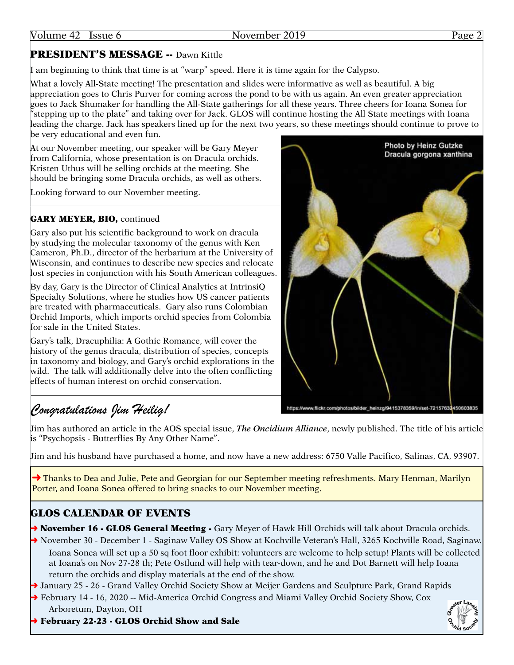## PRESIDENT'S MESSAGE -- Dawn Kittle

I am beginning to think that time is at "warp" speed. Here it is time again for the Calypso.

What a lovely All-State meeting! The presentation and slides were informative as well as beautiful. A big appreciation goes to Chris Purver for coming across the pond to be with us again. An even greater appreciation goes to Jack Shumaker for handling the All-State gatherings for all these years. Three cheers for Ioana Sonea for "stepping up to the plate" and taking over for Jack. GLOS will continue hosting the All State meetings with Ioana leading the charge. Jack has speakers lined up for the next two years, so these meetings should continue to prove to be very educational and even fun.

At our November meeting, our speaker will be Gary Meyer from California, whose presentation is on Dracula orchids. Kristen Uthus will be selling orchids at the meeting. She should be bringing some Dracula orchids, as well as others.

Looking forward to our November meeting.

## GARY MEYER, BIO, continued

Gary also put his scientific background to work on dracula by studying the molecular taxonomy of the genus with Ken Cameron, Ph.D., director of the herbarium at the University of Wisconsin, and continues to describe new species and relocate lost species in conjunction with his South American colleagues.

By day, Gary is the Director of Clinical Analytics at IntrinsiQ Specialty Solutions, where he studies how US cancer patients are treated with pharmaceuticals. Gary also runs Colombian Orchid Imports, which imports orchid species from Colombia for sale in the United States.

Gary's talk, Dracuphilia: A Gothic Romance, will cover the history of the genus dracula, distribution of species, concepts in taxonomy and biology, and Gary's orchid explorations in the wild. The talk will additionally delve into the often conflicting effects of human interest on orchid conservation.



# *Congratulations Jim Heilig!*

Jim has authored an article in the AOS special issue, *The Oncidium Alliance*, newly published. The title of his article is "Psychopsis - Butterflies By Any Other Name".

Jim and his husband have purchased a home, and now have a new address: 6750 Valle Pacifico, Salinas, CA, 93907.

→ Thanks to Dea and Julie, Pete and Georgian for our September meeting refreshments. Mary Henman, Marilyn Porter, and Ioana Sonea offered to bring snacks to our November meeting.

## GLOS CALENDAR OF EVENTS

→ November 16 - GLOS General Meeting - Gary Meyer of Hawk Hill Orchids will talk about Dracula orchids.

→ November 30 - December 1 - Saginaw Valley OS Show at Kochville Veteran's Hall, 3265 Kochville Road, Saginaw. Ioana Sonea will set up a 50 sq foot floor exhibit: volunteers are welcome to help setup! Plants will be collected at Ioana's on Nov 27-28 th; Pete Ostlund will help with tear-down, and he and Dot Barnett will help Ioana return the orchids and display materials at the end of the show.

→ January 25 - 26 - Grand Valley Orchid Society Show at Meijer Gardens and Sculpture Park, Grand Rapids

- ➜ February 14 16, 2020 -- Mid-America Orchid Congress and Miami Valley Orchid Society Show, Cox Arboretum, Dayton, OH
- ➜ February 22-23 GLOS Orchid Show and Sale



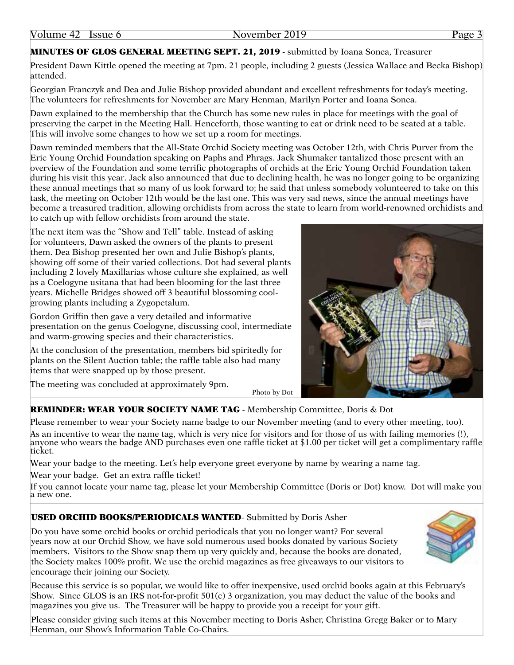## MINUTES OF GLOS GENERAL MEETING SEPT. 21, 2019 - submitted by Ioana Sonea, Treasurer

President Dawn Kittle opened the meeting at 7pm. 21 people, including 2 guests (Jessica Wallace and Becka Bishop) attended.

Georgian Franczyk and Dea and Julie Bishop provided abundant and excellent refreshments for today's meeting. The volunteers for refreshments for November are Mary Henman, Marilyn Porter and Ioana Sonea.

Dawn explained to the membership that the Church has some new rules in place for meetings with the goal of preserving the carpet in the Meeting Hall. Henceforth, those wanting to eat or drink need to be seated at a table. This will involve some changes to how we set up a room for meetings.

Dawn reminded members that the All-State Orchid Society meeting was October 12th, with Chris Purver from the Eric Young Orchid Foundation speaking on Paphs and Phrags. Jack Shumaker tantalized those present with an overview of the Foundation and some terrific photographs of orchids at the Eric Young Orchid Foundation taken during his visit this year. Jack also announced that due to declining health, he was no longer going to be organizing these annual meetings that so many of us look forward to; he said that unless somebody volunteered to take on this task, the meeting on October 12th would be the last one. This was very sad news, since the annual meetings have become a treasured tradition, allowing orchidists from across the state to learn from world-renowned orchidists and to catch up with fellow orchidists from around the state.

The next item was the "Show and Tell" table. Instead of asking for volunteers, Dawn asked the owners of the plants to present them. Dea Bishop presented her own and Julie Bishop's plants, showing off some of their varied collections. Dot had several plants including 2 lovely Maxillarias whose culture she explained, as well as a Coelogyne usitana that had been blooming for the last three years. Michelle Bridges showed off 3 beautiful blossoming coolgrowing plants including a Zygopetalum.

Gordon Griffin then gave a very detailed and informative presentation on the genus Coelogyne, discussing cool, intermediate and warm-growing species and their characteristics.

At the conclusion of the presentation, members bid spiritedly for plants on the Silent Auction table; the raffle table also had many items that were snapped up by those present.

The meeting was concluded at approximately 9pm.



## REMINDER: WEAR YOUR SOCIETY NAME TAG - Membership Committee, Doris & Dot

Please remember to wear your Society name badge to our November meeting (and to every other meeting, too).

As an incentive to wear the name tag, which is very nice for visitors and for those of us with failing memories (!), anyone who wears the badge AND purchases even one raffle ticket at \$1.00 per ticket will get a complimentary raffle ticket.

Photo by Dot

Wear your badge to the meeting. Let's help everyone greet everyone by name by wearing a name tag.

Wear your badge. Get an extra raffle ticket!

If you cannot locate your name tag, please let your Membership Committee (Doris or Dot) know. Dot will make you a new one.

## USED ORCHID BOOKS/PERIODICALS WANTED- Submitted by Doris Asher

Do you have some orchid books or orchid periodicals that you no longer want? For several years now at our Orchid Show, we have sold numerous used books donated by various Society members. Visitors to the Show snap them up very quickly and, because the books are donated, the Society makes 100% profit. We use the orchid magazines as free giveaways to our visitors to encourage their joining our Society.

Because this service is so popular, we would like to offer inexpensive, used orchid books again at this February's Show. Since GLOS is an IRS not-for-profit 501(c) 3 organization, you may deduct the value of the books and magazines you give us. The Treasurer will be happy to provide you a receipt for your gift.

Please consider giving such items at this November meeting to Doris Asher, Christina Gregg Baker or to Mary Henman, our Show's Information Table Co-Chairs.

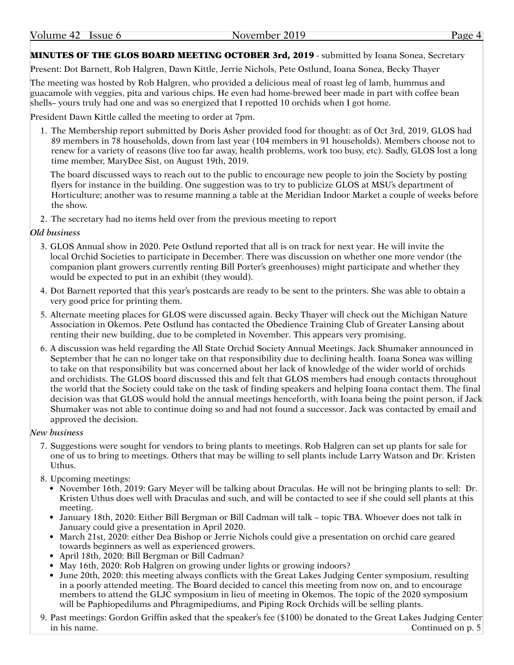### MINUTES OF THE GLOS BOARD MEETING OCTOBER 3rd, 2019 - submitted by Ioana Sonea, Secretary

Present: Dot Barnett, Rob Halgren, Dawn Kittle, Jerrie Nichols, Pete Ostlund, Ioana Sonea, Becky Thayer

The meeting was hosted by Rob Halgren, who provided a delicious meal of roast leg of lamb, hummus and guacamole with veggies, pita and various chips. He even had home-brewed beer made in part with coffee bean shells– yours truly had one and was so energized that I repotted 10 orchids when I got home.

President Dawn Kittle called the meeting to order at 7pm.

1. The Membership report submitted by Doris Asher provided food for thought: as of Oct 3rd, 2019, GLOS had 89 members in 78 households, down from last year (104 members in 91 households). Members choose not to renew for a variety of reasons (live too far away, health problems, work too busy, etc). Sadly, GLOS lost a long time member, MaryDee Sist, on August 19th, 2019.

The board discussed ways to reach out to the public to encourage new people to join the Society by posting flyers for instance in the building. One suggestion was to try to publicize GLOS at MSU's department of Horticulture; another was to resume manning a table at the Meridian Indoor Market a couple of weeks before the show.

2. The secretary had no items held over from the previous meeting to report

### *Old business*

- 3. GLOS Annual show in 2020. Pete Ostlund reported that all is on track for next year. He will invite the local Orchid Societies to participate in December. There was discussion on whether one more vendor (the companion plant growers currently renting Bill Porter's greenhouses) might participate and whether they would be expected to put in an exhibit (they would).
- 4. Dot Barnett reported that this year's postcards are ready to be sent to the printers. She was able to obtain a very good price for printing them.
- 5. Alternate meeting places for GLOS were discussed again. Becky Thayer will check out the Michigan Nature Association in Okemos. Pete Ostlund has contacted the Obedience Training Club of Greater Lansing about renting their new building, due to be completed in November. This appears very promising.
- 6. A discussion was held regarding the All State Orchid Society Annual Meetings. Jack Shumaker announced in September that he can no longer take on that responsibility due to declining health. Ioana Sonea was willing to take on that responsibility but was concerned about her lack of knowledge of the wider world of orchids and orchidists. The GLOS board discussed this and felt that GLOS members had enough contacts throughout the world that the Society could take on the task of finding speakers and helping Ioana contact them. The final decision was that GLOS would hold the annual meetings henceforth, with Ioana being the point person, if Jack Shumaker was not able to continue doing so and had not found a successor. Jack was contacted by email and approved the decision.

#### *New business*

- **Photos** Uthus. 7. Suggestions were sought for vendors to bring plants to meetings. Rob Halgren can set up plants for sale for one of us to bring to meetings. Others that may be willing to sell plants include Larry Watson and Dr. Kristen
	- 8. Upcoming meetings:
		- November 16th, 2019: Gary Meyer will be talking about Draculas. He will not be bringing plants to sell: Dr. Kristen Uthus does well with Draculas and such, and will be contacted to see if she could sell plants at this meeting.
		- January 18th, 2020: Either Bill Bergman or Bill Cadman will talk topic TBA. Whoever does not talk in January could give a presentation in April 2020.
		- March 21st, 2020: either Dea Bishop or Jerrie Nichols could give a presentation on orchid care geared towards beginners as well as experienced growers.
		- April 18th, 2020: Bill Bergman or Bill Cadman?
		- May 16th, 2020: Rob Halgren on growing under lights or growing indoors?
		- June 20th, 2020: this meeting always conflicts with the Great Lakes Judging Center symposium, resulting in a poorly attended meeting. The Board decided to cancel this meeting from now on, and to encourage members to attend the GLJC symposium in lieu of meeting in Okemos. The topic of the 2020 symposium will be Paphiopedilums and Phragmipediums, and Piping Rock Orchids will be selling plants.
	- 9. Past meetings: Gordon Griffin asked that the speaker's fee (\$100) be donated to the Great Lakes Judging Center in his name. Continued on p. 5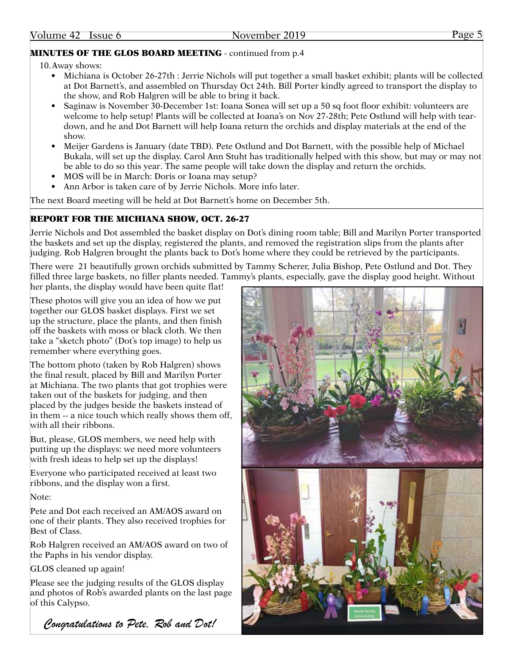## MINUTES OF THE GLOS BOARD MEETING - continued from p.4

## 10.Away shows:

- Michiana is October 26-27th : Jerrie Nichols will put together a small basket exhibit; plants will be collected at Dot Barnett's, and assembled on Thursday Oct 24th. Bill Porter kindly agreed to transport the display to the show, and Rob Halgren will be able to bring it back.
- Saginaw is November 30-December 1st: Ioana Sonea will set up a 50 sq foot floor exhibit: volunteers are welcome to help setup! Plants will be collected at Ioana's on Nov 27-28th; Pete Ostlund will help with teardown, and he and Dot Barnett will help Ioana return the orchids and display materials at the end of the show.
- Meijer Gardens is January (date TBD). Pete Ostlund and Dot Barnett, with the possible help of Michael Bukala, will set up the display. Carol Ann Stuht has traditionally helped with this show, but may or may not be able to do so this year. The same people will take down the display and return the orchids.
- MOS will be in March: Doris or Ioana may setup?
- Ann Arbor is taken care of by Jerrie Nichols. More info later.

The next Board meeting will be held at Dot Barnett's home on December 5th.

## REPORT FOR THE MICHIANA SHOW, OCT. 26-27

Jerrie Nichols and Dot assembled the basket display on Dot's dining room table; Bill and Marilyn Porter transported the baskets and set up the display, registered the plants, and removed the registration slips from the plants after judging. Rob Halgren brought the plants back to Dot's home where they could be retrieved by the participants.

There were 21 beautifully grown orchids submitted by Tammy Scherer, Julia Bishop, Pete Ostlund and Dot. They filled three large baskets, no filler plants needed. Tammy's plants, especially, gave the display good height. Without her plants, the display would have been quite flat!

These photos will give you an idea of how we put together our GLOS basket displays. First we set up the structure, place the plants, and then finish off the baskets with moss or black cloth. We then take a "sketch photo" (Dot's top image) to help us remember where everything goes.

The bottom photo (taken by Rob Halgren) shows the final result, placed by Bill and Marilyn Porter at Michiana. The two plants that got trophies were taken out of the baskets for judging, and then placed by the judges beside the baskets instead of in them -- a nice touch which really shows them off, with all their ribbons.

But, please, GLOS members, we need help with putting up the displays: we need more volunteers with fresh ideas to help set up the displays!

Everyone who participated received at least two ribbons, and the display won a first.

Note:

Pete and Dot each received an AM/AOS award on one of their plants. They also received trophies for Best of Class.

Rob Halgren received an AM/AOS award on two of the Paphs in his vendor display.

GLOS cleaned up again!

Please see the judging results of the GLOS display and photos of Rob's awarded plants on the last page of this Calypso.

*Congratulations to Pete, Rob and Dot!*

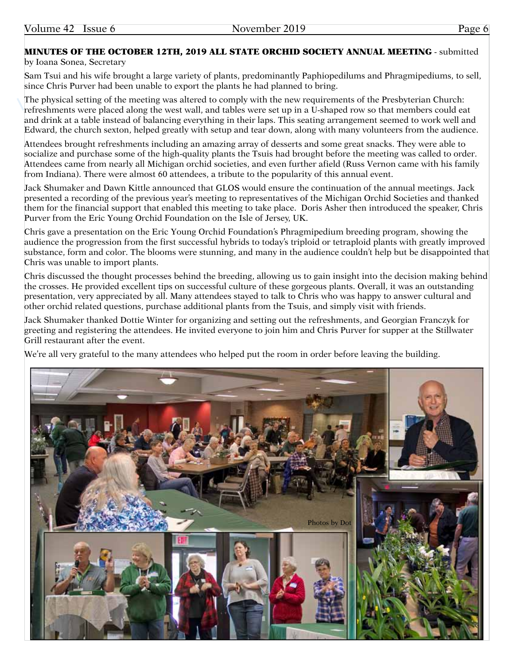## MINUTES OF THE OCTOBER 12TH, 2019 ALL STATE ORCHID SOCIETY ANNUAL MEETING - submitted

#### by Ioana Sonea, Secretary

Sam Tsui and his wife brought a large variety of plants, predominantly Paphiopedilums and Phragmipediums, to sell, since Chris Purver had been unable to export the plants he had planned to bring.

The physical setting of the meeting was altered to comply with the new requirements of the Presbyterian Church: refreshments were placed along the west wall, and tables were set up in a U-shaped row so that members could eat and drink at a table instead of balancing everything in their laps. This seating arrangement seemed to work well and Edward, the church sexton, helped greatly with setup and tear down, along with many volunteers from the audience.

Attendees brought refreshments including an amazing array of desserts and some great snacks. They were able to socialize and purchase some of the high-quality plants the Tsuis had brought before the meeting was called to order. Attendees came from nearly all Michigan orchid societies, and even further afield (Russ Vernon came with his family from Indiana). There were almost 60 attendees, a tribute to the popularity of this annual event.

Jack Shumaker and Dawn Kittle announced that GLOS would ensure the continuation of the annual meetings. Jack presented a recording of the previous year's meeting to representatives of the Michigan Orchid Societies and thanked them for the financial support that enabled this meeting to take place. Doris Asher then introduced the speaker, Chris Purver from the Eric Young Orchid Foundation on the Isle of Jersey, UK.

Chris gave a presentation on the Eric Young Orchid Foundation's Phragmipedium breeding program, showing the audience the progression from the first successful hybrids to today's triploid or tetraploid plants with greatly improved substance, form and color. The blooms were stunning, and many in the audience couldn't help but be disappointed that Chris was unable to import plants.

Chris discussed the thought processes behind the breeding, allowing us to gain insight into the decision making behind the crosses. He provided excellent tips on successful culture of these gorgeous plants. Overall, it was an outstanding presentation, very appreciated by all. Many attendees stayed to talk to Chris who was happy to answer cultural and other orchid related questions, purchase additional plants from the Tsuis, and simply visit with friends.

Jack Shumaker thanked Dottie Winter for organizing and setting out the refreshments, and Georgian Franczyk for greeting and registering the attendees. He invited everyone to join him and Chris Purver for supper at the Stillwater Grill restaurant after the event.

We're all very grateful to the many attendees who helped put the room in order before leaving the building.

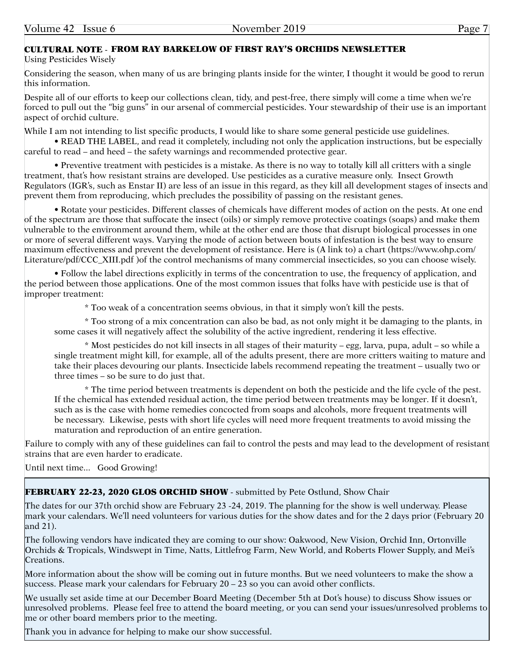## CULTURAL NOTE - FROM RAY BARKELOW OF FIRST RAY'S ORCHIDS NEWSLETTER

Using Pesticides Wisely

Considering the season, when many of us are bringing plants inside for the winter, I thought it would be good to rerun this information.

Despite all of our efforts to keep our collections clean, tidy, and pest-free, there simply will come a time when we're forced to pull out the "big guns" in our arsenal of commercial pesticides. Your stewardship of their use is an important aspect of orchid culture.

While I am not intending to list specific products, I would like to share some general pesticide use guidelines.

• READ THE LABEL, and read it completely, including not only the application instructions, but be especially careful to read – and heed – the safety warnings and recommended protective gear.

• Preventive treatment with pesticides is a mistake. As there is no way to totally kill all critters with a single treatment, that's how resistant strains are developed. Use pesticides as a curative measure only. Insect Growth Regulators (IGR's, such as Enstar II) are less of an issue in this regard, as they kill all development stages of insects and prevent them from reproducing, which precludes the possibility of passing on the resistant genes.

• Rotate your pesticides. Different classes of chemicals have different modes of action on the pests. At one end of the spectrum are those that suffocate the insect (oils) or simply remove protective coatings (soaps) and make them vulnerable to the environment around them, while at the other end are those that disrupt biological processes in one or more of several different ways. Varying the mode of action between bouts of infestation is the best way to ensure maximum effectiveness and prevent the development of resistance. Here is (A link to) a chart (https://www.ohp.com/ Literature/pdf/CCC\_XIII.pdf )of the control mechanisms of many commercial insecticides, so you can choose wisely.

• Follow the label directions explicitly in terms of the concentration to use, the frequency of application, and the period between those applications. One of the most common issues that folks have with pesticide use is that of improper treatment:

\* Too weak of a concentration seems obvious, in that it simply won't kill the pests.

\* Too strong of a mix concentration can also be bad, as not only might it be damaging to the plants, in some cases it will negatively affect the solubility of the active ingredient, rendering it less effective.

\* Most pesticides do not kill insects in all stages of their maturity – egg, larva, pupa, adult – so while a single treatment might kill, for example, all of the adults present, there are more critters waiting to mature and take their places devouring our plants. Insecticide labels recommend repeating the treatment – usually two or three times – so be sure to do just that.

\* The time period between treatments is dependent on both the pesticide and the life cycle of the pest. If the chemical has extended residual action, the time period between treatments may be longer. If it doesn't, such as is the case with home remedies concocted from soaps and alcohols, more frequent treatments will be necessary. Likewise, pests with short life cycles will need more frequent treatments to avoid missing the maturation and reproduction of an entire generation.

Failure to comply with any of these guidelines can fail to control the pests and may lead to the development of resistant strains that are even harder to eradicate.

Until next time... Good Growing!

FEBRUARY 22-23, 2020 GLOS ORCHID SHOW - submitted by Pete Ostlund, Show Chair

The dates for our 37th orchid show are February 23 -24, 2019. The planning for the show is well underway. Please mark your calendars. We'll need volunteers for various duties for the show dates and for the 2 days prior (February 20 and 21).

The following vendors have indicated they are coming to our show: Oakwood, New Vision, Orchid Inn, Ortonville Orchids & Tropicals, Windswept in Time, Natts, Littlefrog Farm, New World, and Roberts Flower Supply, and Mei's Creations.

More information about the show will be coming out in future months. But we need volunteers to make the show a success. Please mark your calendars for February 20 – 23 so you can avoid other conflicts.

We usually set aside time at our December Board Meeting (December 5th at Dot's house) to discuss Show issues or unresolved problems. Please feel free to attend the board meeting, or you can send your issues/unresolved problems to me or other board members prior to the meeting.

Thank you in advance for helping to make our show successful.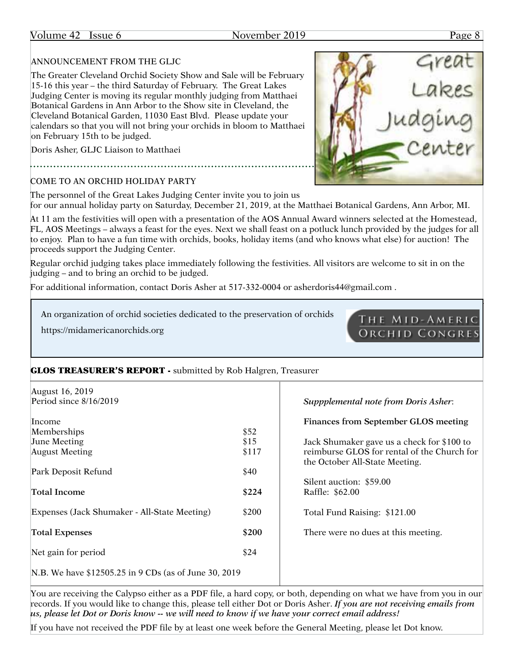### Volume 42 Issue 6 November 2019 Page 8

#### ANNOUNCEMENT FROM THE GLJC

The Greater Cleveland Orchid Society Show and Sale will be February 15-16 this year – the third Saturday of February. The Great Lakes Judging Center is moving its regular monthly judging from Matthaei Botanical Gardens in Ann Arbor to the Show site in Cleveland, the Cleveland Botanical Garden, 11030 East Blvd. Please update your calendars so that you will not bring your orchids in bloom to Matthaei on February 15th to be judged.

Doris Asher, GLJC Liaison to Matthaei

## COME TO AN ORCHID HOLIDAY PARTY

The personnel of the Great Lakes Judging Center invite you to join us for our annual holiday party on Saturday, December 21, 2019, at the Matthaei Botanical Gardens, Ann Arbor, MI.

At 11 am the festivities will open with a presentation of the AOS Annual Award winners selected at the Homestead, FL, AOS Meetings – always a feast for the eyes. Next we shall feast on a potluck lunch provided by the judges for all to enjoy. Plan to have a fun time with orchids, books, holiday items (and who knows what else) for auction! The proceeds support the Judging Center.

Regular orchid judging takes place immediately following the festivities. All visitors are welcome to sit in on the judging – and to bring an orchid to be judged.

For additional information, contact Doris Asher at 517-332-0004 or asherdoris44@gmail.com .

An organization of orchid societies dedicated to the preservation of orchids

https://midamericanorchids.org



| August 16, 2019                                        |       |                                             |
|--------------------------------------------------------|-------|---------------------------------------------|
| Period since $8/16/2019$                               |       | <b>Suppplemental note from Doris Asher.</b> |
| Income                                                 |       | Finances from September GLOS meeting        |
| Memberships                                            | \$52  |                                             |
| <b>June Meeting</b>                                    | \$15  | Jack Shumaker gave us a check for \$100 to  |
| <b>August Meeting</b>                                  | \$117 | reimburse GLOS for rental of the Church for |
|                                                        |       | the October All-State Meeting.              |
| Park Deposit Refund                                    | \$40  |                                             |
|                                                        |       | Silent auction: \$59.00                     |
| Total Income                                           | \$224 | Raffle: \$62.00                             |
| Expenses (Jack Shumaker - All-State Meeting)           | \$200 | Total Fund Raising: \$121.00                |
| <b>Total Expenses</b>                                  | \$200 | There were no dues at this meeting.         |
|                                                        |       |                                             |
| Net gain for period                                    | \$24  |                                             |
| N.B. We have \$12505.25 in 9 CDs (as of June 30, 2019) |       |                                             |

You are receiving the Calypso either as a PDF file, a hard copy, or both, depending on what we have from you in our records. If you would like to change this, please tell either Dot or Doris Asher. *If you are not receiving emails from us, please let Dot or Doris know -- we will need to know if we have your correct email address!*

If you have not received the PDF file by at least one week before the General Meeting, please let Dot know.



THE MID-AMERIC **ORCHID CONGRES**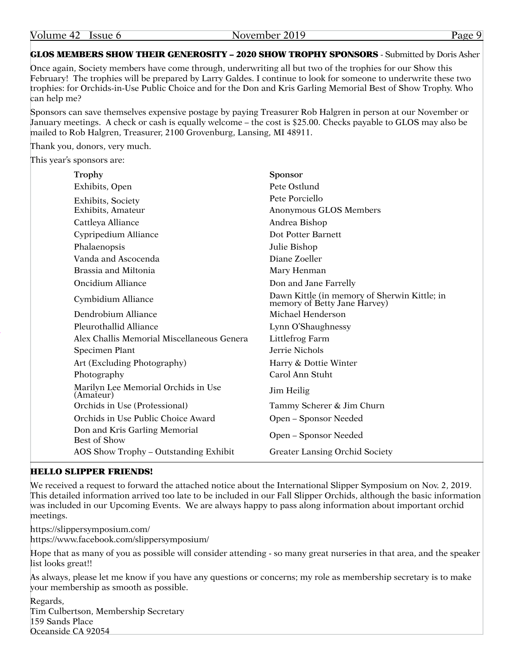GLOS MEMBERS SHOW THEIR GENEROSITY – 2020 SHOW TROPHY SPONSORS - Submitted by Doris Asher

Once again, Society members have come through, underwriting all but two of the trophies for our Show this February! The trophies will be prepared by Larry Galdes. I continue to look for someone to underwrite these two trophies: for Orchids-in-Use Public Choice and for the Don and Kris Garling Memorial Best of Show Trophy. Who can help me?

Sponsors can save themselves expensive postage by paying Treasurer Rob Halgren in person at our November or January meetings. A check or cash is equally welcome – the cost is \$25.00. Checks payable to GLOS may also be mailed to Rob Halgren, Treasurer, 2100 Grovenburg, Lansing, MI 48911.

Thank you, donors, very much.

This year's sponsors are:

| Trophy                                               | <b>Sponsor</b>                                                               |
|------------------------------------------------------|------------------------------------------------------------------------------|
| Exhibits, Open                                       | Pete Ostlund                                                                 |
| Exhibits, Society                                    | Pete Porciello                                                               |
| Exhibits, Amateur                                    | Anonymous GLOS Members                                                       |
| Cattleya Alliance                                    | Andrea Bishop                                                                |
| Cypripedium Alliance                                 | Dot Potter Barnett                                                           |
| Phalaenopsis                                         | Julie Bishop                                                                 |
| Vanda and Ascocenda                                  | Diane Zoeller                                                                |
| Brassia and Miltonia                                 | Mary Henman                                                                  |
| <b>Oncidium Alliance</b>                             | Don and Jane Farrelly                                                        |
| Cymbidium Alliance                                   | Dawn Kittle (in memory of Sherwin Kittle; in<br>memory of Betty Jane Harvey) |
| Dendrobium Alliance                                  | Michael Henderson                                                            |
| Pleurothallid Alliance                               | Lynn O'Shaughnessy                                                           |
| Alex Challis Memorial Miscellaneous Genera           | Littlefrog Farm                                                              |
| Specimen Plant                                       | Jerrie Nichols                                                               |
| Art (Excluding Photography)                          | Harry & Dottie Winter                                                        |
| Photography                                          | Carol Ann Stuht                                                              |
| Marilyn Lee Memorial Orchids in Use<br>(Amateur)     | Jim Heilig                                                                   |
| Orchids in Use (Professional)                        | Tammy Scherer & Jim Churn                                                    |
| Orchids in Use Public Choice Award                   | Open – Sponsor Needed                                                        |
| Don and Kris Garling Memorial<br><b>Best of Show</b> | Open – Sponsor Needed                                                        |
| AOS Show Trophy – Outstanding Exhibit                | <b>Greater Lansing Orchid Society</b>                                        |

#### HELLO SLIPPER FRIENDS!

We received a request to forward the attached notice about the International Slipper Symposium on Nov. 2, 2019. This detailed information arrived too late to be included in our Fall Slipper Orchids, although the basic information was included in our Upcoming Events. We are always happy to pass along information about important orchid meetings.

https://slippersymposium.com/ https://www.facebook.com/slippersymposium/

Hope that as many of you as possible will consider attending - so many great nurseries in that area, and the speaker list looks great!!

As always, please let me know if you have any questions or concerns; my role as membership secretary is to make your membership as smooth as possible.

Regards, Tim Culbertson, Membership Secretary 159 Sands Place Oceanside CA 92054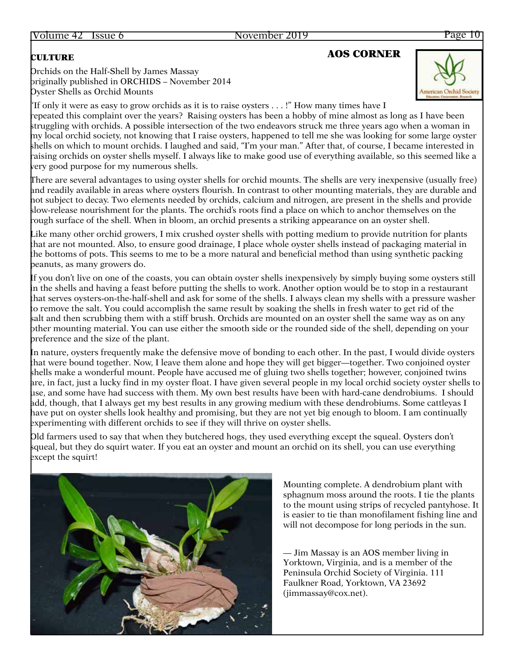#### Orchids on the Half-Shell by James Massay originally published in ORCHIDS – November 2014 Oyster Shells as Orchid Mounts

# **CULTURE AOS CORNER**



"If only it were as easy to grow orchids as it is to raise oysters . . . !" How many times have I repeated this complaint over the years? Raising oysters has been a hobby of mine almost as long as I have been struggling with orchids. A possible intersection of the two endeavors struck me three years ago when a woman in my local orchid society, not knowing that I raise oysters, happened to tell me she was looking for some large oyster shells on which to mount orchids. I laughed and said, "I'm your man." After that, of course, I became interested in raising orchids on oyster shells myself. I always like to make good use of everything available, so this seemed like a very good purpose for my numerous shells.

There are several advantages to using oyster shells for orchid mounts. The shells are very inexpensive (usually free) and readily available in areas where oysters flourish. In contrast to other mounting materials, they are durable and not subject to decay. Two elements needed by orchids, calcium and nitrogen, are present in the shells and provide slow-release nourishment for the plants. The orchid's roots find a place on which to anchor themselves on the rough surface of the shell. When in bloom, an orchid presents a striking appearance on an oyster shell.

Like many other orchid growers, I mix crushed oyster shells with potting medium to provide nutrition for plants that are not mounted. Also, to ensure good drainage, I place whole oyster shells instead of packaging material in the bottoms of pots. This seems to me to be a more natural and beneficial method than using synthetic packing peanuts, as many growers do.

If you don't live on one of the coasts, you can obtain oyster shells inexpensively by simply buying some oysters still in the shells and having a feast before putting the shells to work. Another option would be to stop in a restaurant that serves oysters-on-the-half-shell and ask for some of the shells. I always clean my shells with a pressure washer to remove the salt. You could accomplish the same result by soaking the shells in fresh water to get rid of the salt and then scrubbing them with a stiff brush. Orchids are mounted on an oyster shell the same way as on any other mounting material. You can use either the smooth side or the rounded side of the shell, depending on your preference and the size of the plant.

In nature, oysters frequently make the defensive move of bonding to each other. In the past, I would divide oysters that were bound together. Now, I leave them alone and hope they will get bigger—together. Two conjoined oyster shells make a wonderful mount. People have accused me of gluing two shells together; however, conjoined twins are, in fact, just a lucky find in my oyster float. I have given several people in my local orchid society oyster shells to use, and some have had success with them. My own best results have been with hard-cane dendrobiums. I should add, though, that I always get my best results in any growing medium with these dendrobiums. Some cattleyas I have put on oyster shells look healthy and promising, but they are not yet big enough to bloom. I am continually experimenting with different orchids to see if they will thrive on oyster shells.

Old farmers used to say that when they butchered hogs, they used everything except the squeal. Oysters don't squeal, but they do squirt water. If you eat an oyster and mount an orchid on its shell, you can use everything except the squirt!



Mounting complete. A dendrobium plant with sphagnum moss around the roots. I tie the plants to the mount using strips of recycled pantyhose. It is easier to tie than monofilament fishing line and will not decompose for long periods in the sun.

— Jim Massay is an AOS member living in Yorktown, Virginia, and is a member of the Peninsula Orchid Society of Virginia. 111 Faulkner Road, Yorktown, VA 23692 (jimmassay@cox.net).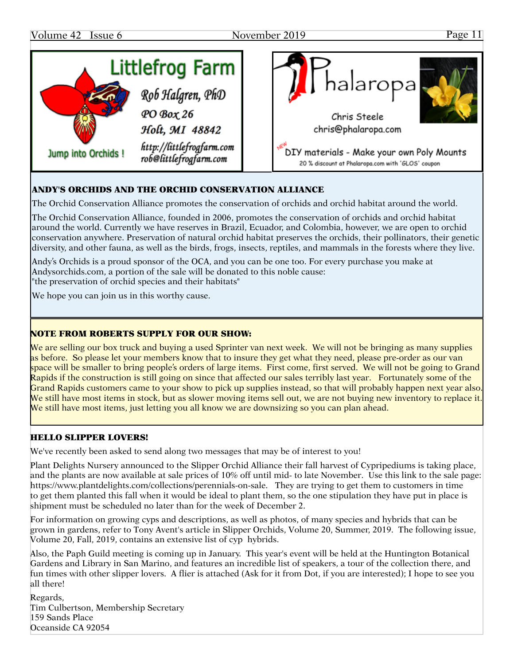

### ANDY'S ORCHIDS AND THE ORCHID CONSERVATION ALLIANCE

The Orchid Conservation Alliance promotes the conservation of orchids and orchid habitat around the world.

The Orchid Conservation Alliance, founded in 2006, promotes the conservation of orchids and orchid habitat around the world. Currently we have reserves in Brazil, Ecuador, and Colombia, however, we are open to orchid conservation anywhere. Preservation of natural orchid habitat preserves the orchids, their pollinators, their genetic diversity, and other fauna, as well as the birds, frogs, insects, reptiles, and mammals in the forests where they live.

Andy's Orchids is a proud sponsor of the OCA, and you can be one too. For every purchase you make at Andysorchids.com, a portion of the sale will be donated to this noble cause: "the preservation of orchid species and their habitats"

We hope you can join us in this worthy cause.

#### NOTE FROM ROBERTS SUPPLY FOR OUR SHOW:

We are selling our box truck and buying a used Sprinter van next week. We will not be bringing as many supplies as before. So please let your members know that to insure they get what they need, please pre-order as our van space will be smaller to bring people's orders of large items. First come, first served. We will not be going to Grand Rapids if the construction is still going on since that affected our sales terribly last year. Fortunately some of the Grand Rapids customers came to your show to pick up supplies instead, so that will probably happen next year also. We still have most items in stock, but as slower moving items sell out, we are not buying new inventory to replace it. We still have most items, just letting you all know we are downsizing so you can plan ahead.

#### HELLO SLIPPER LOVERS!

We've recently been asked to send along two messages that may be of interest to you!

Plant Delights Nursery announced to the Slipper Orchid Alliance their fall harvest of Cypripediums is taking place, and the plants are now available at sale prices of 10% off until mid- to late November. Use this link to the sale page: https://www.plantdelights.com/collections/perennials-on-sale. They are trying to get them to customers in time to get them planted this fall when it would be ideal to plant them, so the one stipulation they have put in place is shipment must be scheduled no later than for the week of December 2.

For information on growing cyps and descriptions, as well as photos, of many species and hybrids that can be grown in gardens, refer to Tony Avent's article in Slipper Orchids, Volume 20, Summer, 2019. The following issue, Volume 20, Fall, 2019, contains an extensive list of cyp hybrids.

Also, the Paph Guild meeting is coming up in January. This year's event will be held at the Huntington Botanical Gardens and Library in San Marino, and features an incredible list of speakers, a tour of the collection there, and fun times with other slipper lovers. A flier is attached (Ask for it from Dot, if you are interested); I hope to see you all there!

Regards, Tim Culbertson, Membership Secretary 159 Sands Place Oceanside CA 92054